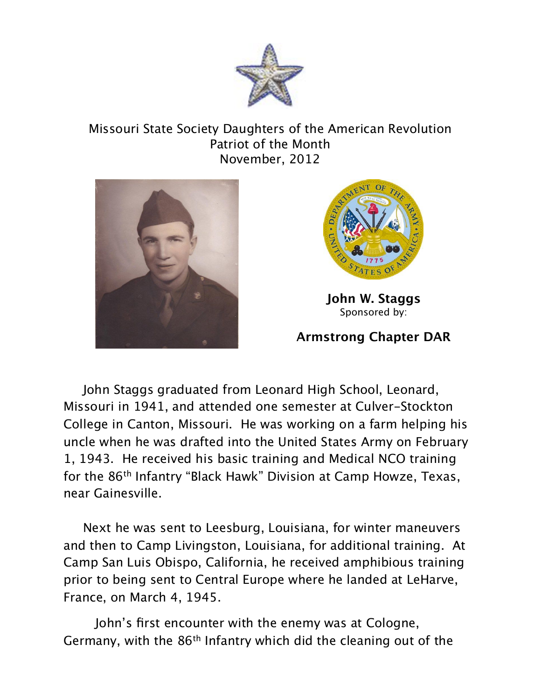

## Missouri State Society Daughters of the American Revolution Patriot of the Month November, 2012





**John W. Staggs** Sponsored by:

## **Armstrong Chapter DAR**

 John Staggs graduated from Leonard High School, Leonard, Missouri in 1941, and attended one semester at Culver-Stockton College in Canton, Missouri. He was working on a farm helping his uncle when he was drafted into the United States Army on February 1, 1943. He received his basic training and Medical NCO training for the 86th Infantry "Black Hawk" Division at Camp Howze, Texas, near Gainesville.

 Next he was sent to Leesburg, Louisiana, for winter maneuvers and then to Camp Livingston, Louisiana, for additional training. At Camp San Luis Obispo, California, he received amphibious training prior to being sent to Central Europe where he landed at LeHarve, France, on March 4, 1945.

John's first encounter with the enemy was at Cologne, Germany, with the 86th Infantry which did the cleaning out of the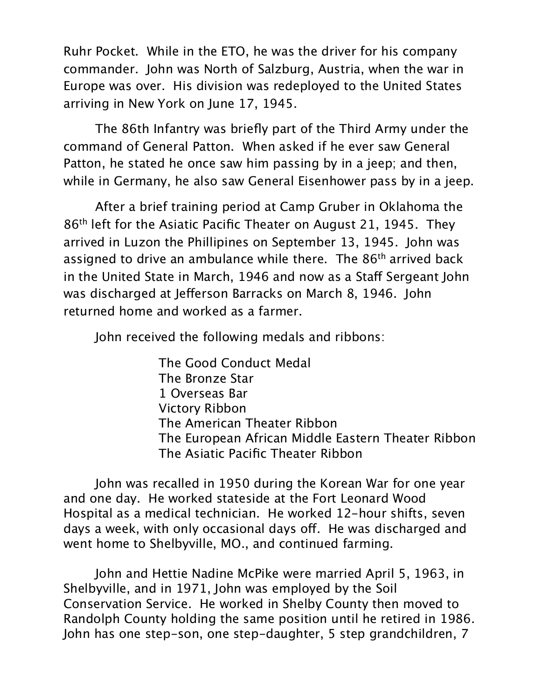Ruhr Pocket. While in the ETO, he was the driver for his company commander. John was North of Salzburg, Austria, when the war in Europe was over. His division was redeployed to the United States arriving in New York on June 17, 1945.

The 86th Infantry was briefly part of the Third Army under the command of General Patton. When asked if he ever saw General Patton, he stated he once saw him passing by in a jeep; and then, while in Germany, he also saw General Eisenhower pass by in a jeep.

After a brief training period at Camp Gruber in Oklahoma the 86th left for the Asiatic Pacific Theater on August 21, 1945. They arrived in Luzon the Phillipines on September 13, 1945. John was assigned to drive an ambulance while there. The 86th arrived back in the United State in March, 1946 and now as a Staff Sergeant John was discharged at Jeferson Barracks on March 8, 1946. John returned home and worked as a farmer.

John received the following medals and ribbons:

 The Good Conduct Medal 
The Bronze Star 1 Overseas Bar 
Victory Ribbon 
The American Theater Ribbon 
The European African Middle Eastern Theater Ribbon 
The Asiatic Pacific Theater Ribbon

John was recalled in 1950 during the Korean War for one year and one day. He worked stateside at the Fort Leonard Wood Hospital as a medical technician. He worked 12-hour shifts, seven days a week, with only occasional days off. He was discharged and went home to Shelbyville, MO., and continued farming.

John and Hettie Nadine McPike were married April 5, 1963, in Shelbyville, and in 1971, John was employed by the Soil Conservation Service. He worked in Shelby County then moved to Randolph County holding the same position until he retired in 1986. John has one step-son, one step-daughter, 5 step grandchildren, 7